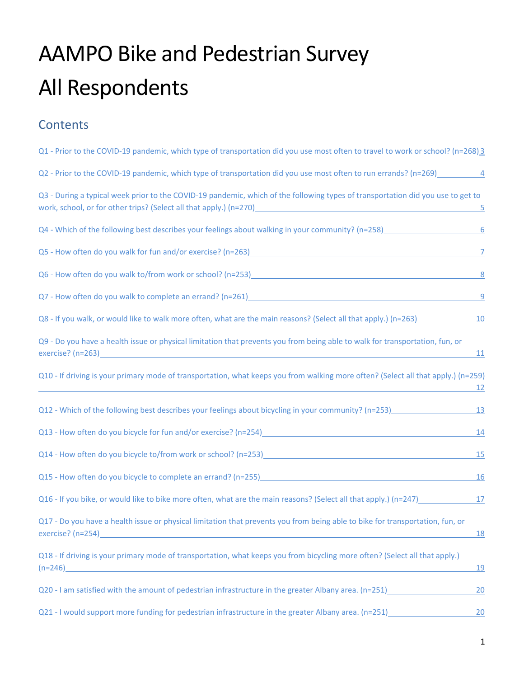# AAMPO Bike and Pedestrian Survey All Respondents

#### **Contents**

| Q1 - Prior to the COVID-19 pandemic, which type of transportation did you use most often to travel to work or school? (n=268) 3                                                                            |            |
|------------------------------------------------------------------------------------------------------------------------------------------------------------------------------------------------------------|------------|
|                                                                                                                                                                                                            |            |
| Q3 - During a typical week prior to the COVID-19 pandemic, which of the following types of transportation did you use to get to<br>work, school, or for other trips? (Select all that apply.) (n=270)<br>5 |            |
| Q4 - Which of the following best describes your feelings about walking in your community? (n=258)<br>6                                                                                                     |            |
| Q5 - How often do you walk for fun and/or exercise? (n=263)<br>2                                                                                                                                           |            |
|                                                                                                                                                                                                            |            |
| Q7 - How often do you walk to complete an errand? (n=261)<br>9                                                                                                                                             |            |
|                                                                                                                                                                                                            |            |
| Q9 - Do you have a health issue or physical limitation that prevents you from being able to walk for transportation, fun, or                                                                               | <u>11</u>  |
| Q10 - If driving is your primary mode of transportation, what keeps you from walking more often? (Select all that apply.) (n=259)                                                                          | <u> 12</u> |
| Q12 - Which of the following best describes your feelings about bicycling in your community? (n=253)                                                                                                       | <b>13</b>  |
| Q13 - How often do you bicycle for fun and/or exercise? (n=254)<br><u>Data</u>                                                                                                                             | 14         |
|                                                                                                                                                                                                            | <u>15</u>  |
|                                                                                                                                                                                                            | <u>16</u>  |
|                                                                                                                                                                                                            |            |
| Q17 - Do you have a health issue or physical limitation that prevents you from being able to bike for transportation, fun, or<br>exercise? (n=254)                                                         | <u>18</u>  |
| Q18 - If driving is your primary mode of transportation, what keeps you from bicycling more often? (Select all that apply.)                                                                                | <u>19</u>  |
| Q20 - I am satisfied with the amount of pedestrian infrastructure in the greater Albany area. (n=251)                                                                                                      | 20         |
| Q21 - I would support more funding for pedestrian infrastructure in the greater Albany area. (n=251)                                                                                                       | 20         |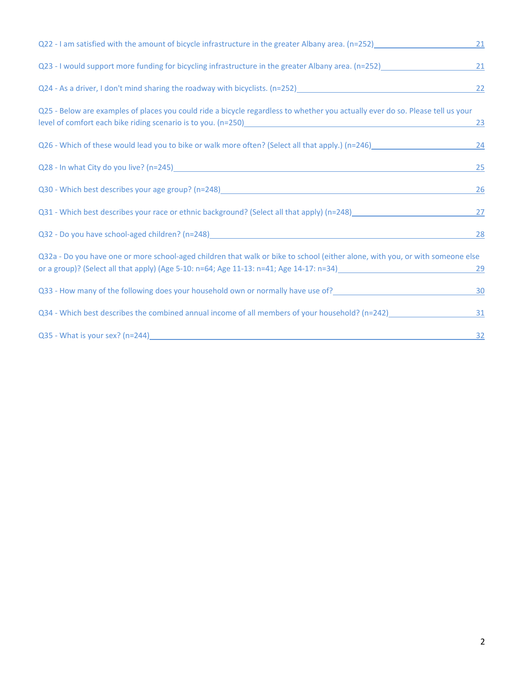| Q22 - I am satisfied with the amount of bicycle infrastructure in the greater Albany area. (n=252)                                                                                                                                                                                                               | 21        |
|------------------------------------------------------------------------------------------------------------------------------------------------------------------------------------------------------------------------------------------------------------------------------------------------------------------|-----------|
| Q23 - I would support more funding for bicycling infrastructure in the greater Albany area. (n=252)______________                                                                                                                                                                                                | 21        |
| Q24 - As a driver, I don't mind sharing the roadway with bicyclists. (n=252)<br>Q24 - As a driver, I don't mind sharing the roadway with bicyclists. (n=252)<br>Martin 2021                                                                                                                                      | 22        |
| Q25 - Below are examples of places you could ride a bicycle regardless to whether you actually ever do so. Please tell us your<br>level of comfort each bike riding scenario is to you. (n=250)<br>and the 250 management of communication and the communication of the control of the control of the control of | <u>23</u> |
| Q26 - Which of these would lead you to bike or walk more often? (Select all that apply.) (n=246)                                                                                                                                                                                                                 | 24        |
|                                                                                                                                                                                                                                                                                                                  | 25        |
| Q30 - Which best describes your age group? (n=248) 2008 2012 2022 2023 2024 2022 2023 2024 2022 2023 2024 2022                                                                                                                                                                                                   | 26        |
| Q31 - Which best describes your race or ethnic background? (Select all that apply) (n=248)                                                                                                                                                                                                                       | 27        |
|                                                                                                                                                                                                                                                                                                                  | 28        |
| Q32a - Do you have one or more school-aged children that walk or bike to school (either alone, with you, or with someone else<br>or a group)? (Select all that apply) (Age 5-10: n=64; Age 11-13: n=41; Age 14-17: n=34)                                                                                         | 29        |
|                                                                                                                                                                                                                                                                                                                  | 30        |
| Q34 - Which best describes the combined annual income of all members of your household? (n=242)_______________                                                                                                                                                                                                   | 31        |
|                                                                                                                                                                                                                                                                                                                  | 32        |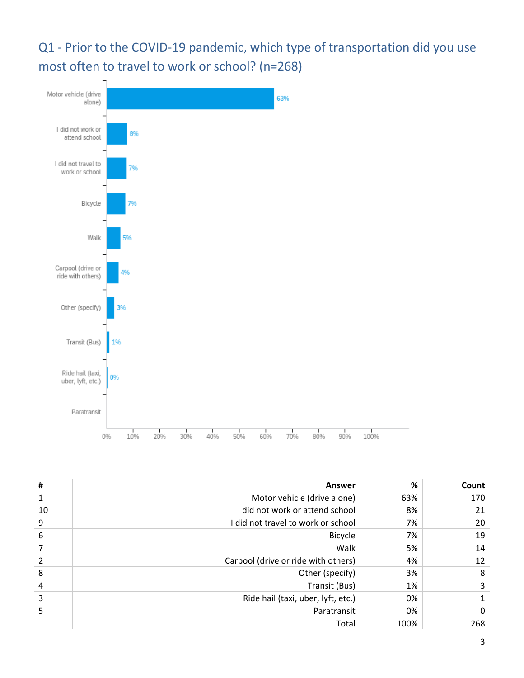<span id="page-2-0"></span>Q1 - Prior to the COVID-19 pandemic, which type of transportation did you use most often to travel to work or school? (n=268)



| #  | <b>Answer</b>                       | %    | Count |
|----|-------------------------------------|------|-------|
|    | Motor vehicle (drive alone)         | 63%  | 170   |
| 10 | I did not work or attend school     | 8%   | 21    |
| 9  | I did not travel to work or school  | 7%   | 20    |
| 6  | <b>Bicycle</b>                      | 7%   | 19    |
|    | Walk                                | 5%   | 14    |
|    | Carpool (drive or ride with others) | 4%   | 12    |
| 8  | Other (specify)                     | 3%   | 8     |
| 4  | Transit (Bus)                       | 1%   |       |
| 3  | Ride hail (taxi, uber, lyft, etc.)  | 0%   |       |
|    | Paratransit                         | 0%   | 0     |
|    | Total                               | 100% | 268   |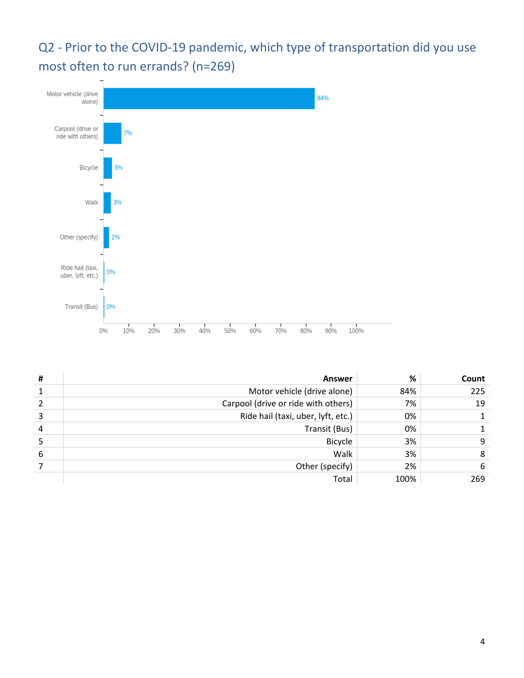<span id="page-3-0"></span>Q2 - Prior to the COVID-19 pandemic, which type of transportation did you use most often to run errands? (n=269)



| # | <b>Answer</b>                       | %    | Count |
|---|-------------------------------------|------|-------|
|   | Motor vehicle (drive alone)         | 84%  | 225   |
|   | Carpool (drive or ride with others) | 7%   | 19    |
| 3 | Ride hail (taxi, uber, lyft, etc.)  | 0%   |       |
| 4 | Transit (Bus)                       | 0%   |       |
|   | <b>Bicycle</b>                      | 3%   |       |
| 6 | Walk                                | 3%   |       |
|   | Other (specify)                     | 2%   | 6     |
|   | Total                               | 100% | 269   |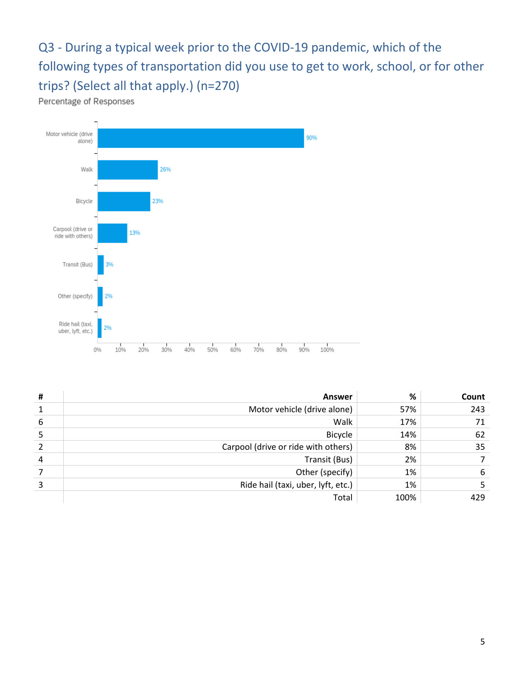<span id="page-4-0"></span>Q3 - During a typical week prior to the COVID-19 pandemic, which of the following types of transportation did you use to get to work, school, or for other trips? (Select all that apply.) (n=270)

Percentage of Responses



| Ħ              | <b>Answer</b>                       | %    | Count |
|----------------|-------------------------------------|------|-------|
|                | Motor vehicle (drive alone)         | 57%  | 243   |
| 6              | Walk                                | 17%  | 71    |
|                | <b>Bicycle</b>                      | 14%  | 62    |
|                | Carpool (drive or ride with others) | 8%   | 35    |
| $\overline{4}$ | Transit (Bus)                       | 2%   |       |
|                | Other (specify)                     | 1%   | 6     |
|                | Ride hail (taxi, uber, lyft, etc.)  | 1%   |       |
|                | Total                               | 100% | 429   |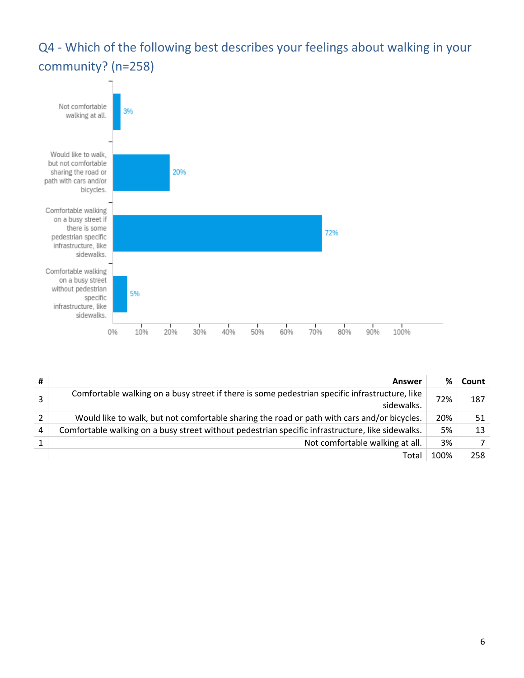<span id="page-5-0"></span>Q4 - Which of the following best describes your feelings about walking in your community? (n=258)



| #              | Answer                                                                                                       | %    | Count |
|----------------|--------------------------------------------------------------------------------------------------------------|------|-------|
| $\overline{3}$ | Comfortable walking on a busy street if there is some pedestrian specific infrastructure, like<br>sidewalks. | 72%  | 187   |
| $\overline{2}$ | Would like to walk, but not comfortable sharing the road or path with cars and/or bicycles.                  | 20%  | 51    |
| 4              | Comfortable walking on a busy street without pedestrian specific infrastructure, like sidewalks.             | 5%   | 13    |
|                | Not comfortable walking at all.                                                                              | 3%   |       |
|                | Total                                                                                                        | 100% | 258   |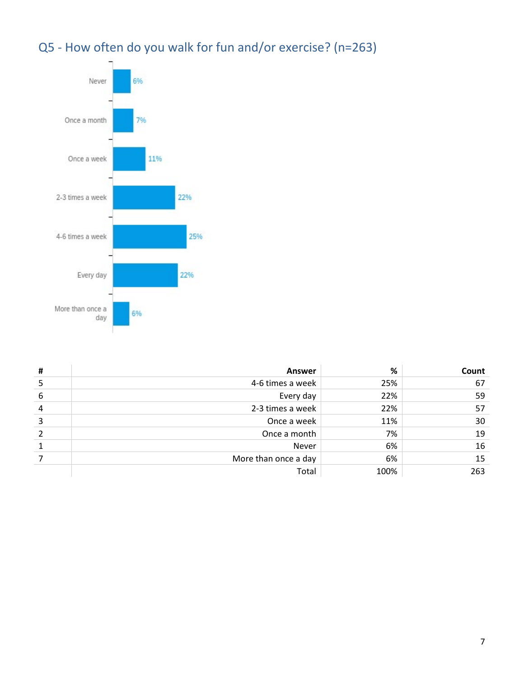

#### <span id="page-6-0"></span>Q5 - How often do you walk for fun and/or exercise? (n=263)

| # | <b>Answer</b>        | %    | Count |
|---|----------------------|------|-------|
|   | 4-6 times a week     | 25%  | 67    |
| 6 | Every day            | 22%  | 59    |
| 4 | 2-3 times a week     | 22%  | 57    |
| 3 | Once a week          | 11%  | 30    |
|   | Once a month         | 7%   | 19    |
|   | Never                | 6%   | 16    |
|   | More than once a day | 6%   | 15    |
|   | Total                | 100% | 263   |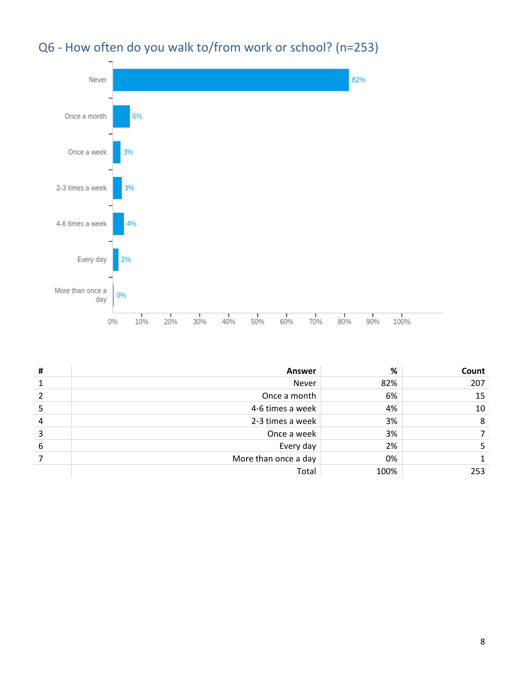<span id="page-7-0"></span>



| # | <b>Answer</b>        | %    | Count |
|---|----------------------|------|-------|
|   | Never                | 82%  | 207   |
|   | Once a month         | 6%   | 15    |
|   | 4-6 times a week     | 4%   | 10    |
| 4 | 2-3 times a week     | 3%   | 8     |
| 3 | Once a week          | 3%   |       |
| 6 | Every day            | 2%   |       |
|   | More than once a day | 0%   |       |
|   | Total                | 100% | 253   |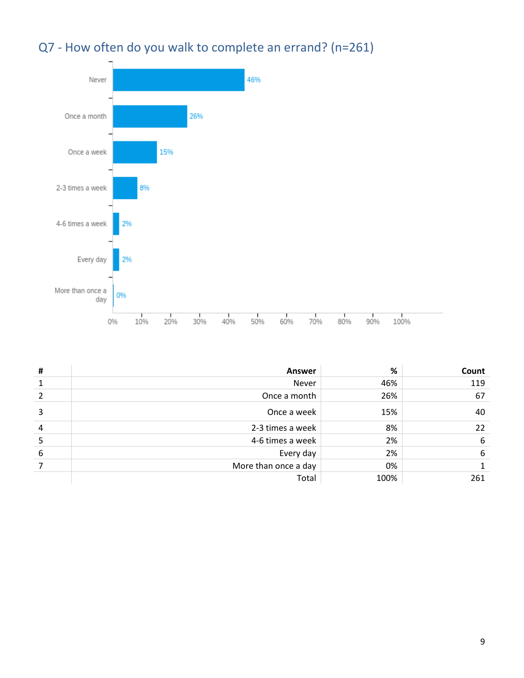#### <span id="page-8-0"></span>Q7 - How often do you walk to complete an errand? (n=261)



| # | <b>Answer</b>        | %    | Count |
|---|----------------------|------|-------|
| 1 | Never                | 46%  | 119   |
| 2 | Once a month         | 26%  | 67    |
| 3 | Once a week          | 15%  | 40    |
| 4 | 2-3 times a week     | 8%   | 22    |
| 5 | 4-6 times a week     | 2%   | 6     |
| 6 | Every day            | 2%   | 6     |
|   | More than once a day | 0%   |       |
|   | Total                | 100% | 261   |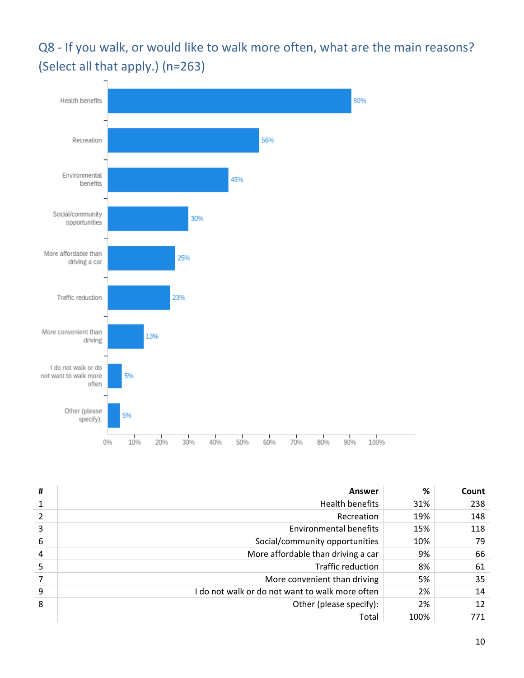<span id="page-9-0"></span>Q8 - If you walk, or would like to walk more often, what are the main reasons? (Select all that apply.) (n=263)



| # | Answer                                          | %    | Count |
|---|-------------------------------------------------|------|-------|
|   | <b>Health benefits</b>                          | 31%  | 238   |
| 2 | Recreation                                      | 19%  | 148   |
| 3 | Environmental benefits                          | 15%  | 118   |
| 6 | Social/community opportunities                  | 10%  | 79    |
| 4 | More affordable than driving a car              | 9%   | 66    |
| 5 | <b>Traffic reduction</b>                        | 8%   | 61    |
|   | More convenient than driving                    | 5%   | 35    |
| 9 | I do not walk or do not want to walk more often | 2%   | 14    |
| 8 | Other (please specify):                         | 2%   | 12    |
|   | Total                                           | 100% | 771   |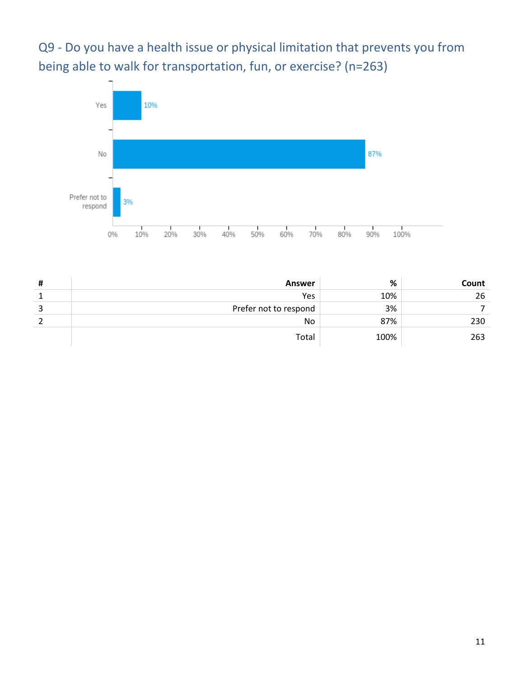<span id="page-10-0"></span>Q9 - Do you have a health issue or physical limitation that prevents you from being able to walk for transportation, fun, or exercise? (n=263)



| # | <b>Answer</b>         | %    | Count |
|---|-----------------------|------|-------|
|   | Yes                   | 10%  | 26    |
| 3 | Prefer not to respond | 3%   |       |
|   | No                    | 87%  | 230   |
|   | Total                 | 100% | 263   |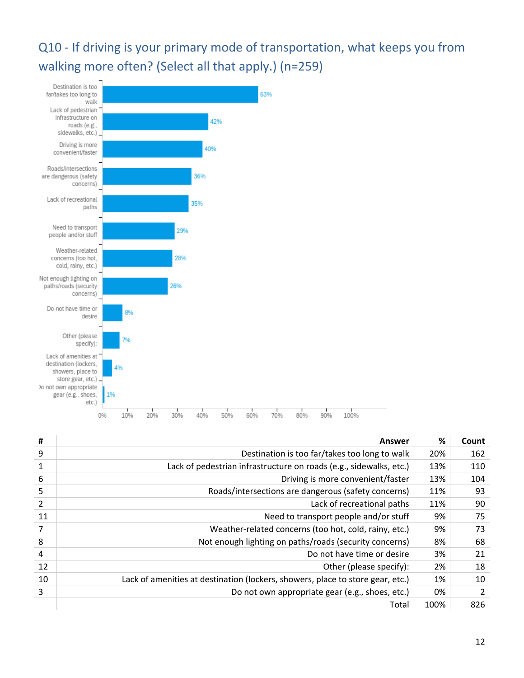<span id="page-11-0"></span>Q10 - If driving is your primary mode of transportation, what keeps you from walking more often? (Select all that apply.) (n=259)



| #              | Answer                                                                         | %    | Count |
|----------------|--------------------------------------------------------------------------------|------|-------|
| 9              | Destination is too far/takes too long to walk                                  | 20%  | 162   |
| 1              | Lack of pedestrian infrastructure on roads (e.g., sidewalks, etc.)             | 13%  | 110   |
| 6              | Driving is more convenient/faster                                              | 13%  | 104   |
| 5              | Roads/intersections are dangerous (safety concerns)                            | 11%  | 93    |
| 2              | Lack of recreational paths                                                     | 11%  | 90    |
| 11             | Need to transport people and/or stuff                                          | 9%   | 75    |
| $\overline{7}$ | Weather-related concerns (too hot, cold, rainy, etc.)                          | 9%   | 73    |
| 8              | Not enough lighting on paths/roads (security concerns)                         | 8%   | 68    |
| 4              | Do not have time or desire                                                     | 3%   | 21    |
| 12             | Other (please specify):                                                        | 2%   | 18    |
| 10             | Lack of amenities at destination (lockers, showers, place to store gear, etc.) | 1%   | 10    |
| 3              | Do not own appropriate gear (e.g., shoes, etc.)                                | 0%   |       |
|                | Total                                                                          | 100% | 826   |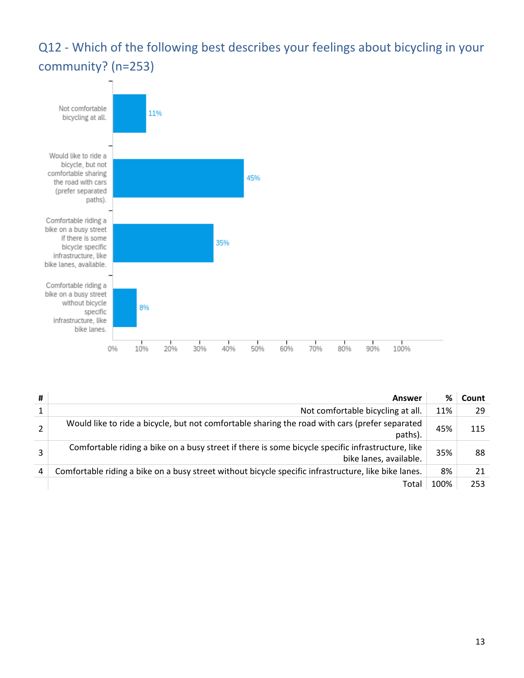#### <span id="page-12-0"></span>Q12 - Which of the following best describes your feelings about bicycling in your community? (n=253)



| # | Answer                                                                                                                      | %    | Count |
|---|-----------------------------------------------------------------------------------------------------------------------------|------|-------|
| 1 | Not comfortable bicycling at all.                                                                                           | 11%  | -29   |
| 2 | Would like to ride a bicycle, but not comfortable sharing the road with cars (prefer separated<br>paths).                   | 45%  | 115   |
| 3 | Comfortable riding a bike on a busy street if there is some bicycle specific infrastructure, like<br>bike lanes, available. | 35%  | 88    |
| 4 | Comfortable riding a bike on a busy street without bicycle specific infrastructure, like bike lanes.                        | 8%   |       |
|   | Total                                                                                                                       | 100% | 253   |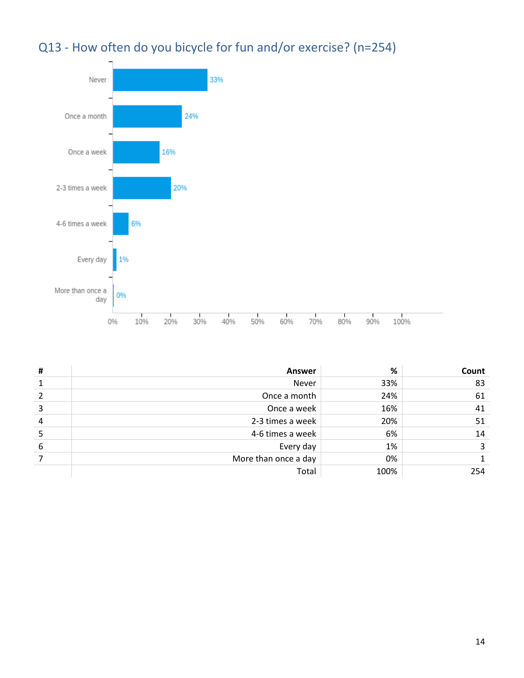#### <span id="page-13-0"></span>Q13 - How often do you bicycle for fun and/or exercise? (n=254)



| # | <b>Answer</b>        | %    | Count |
|---|----------------------|------|-------|
|   | Never                | 33%  | 83    |
|   | Once a month         | 24%  | 61    |
| 3 | Once a week          | 16%  | 41    |
| 4 | 2-3 times a week     | 20%  | 51    |
|   | 4-6 times a week     | 6%   | 14    |
| 6 | Every day            | 1%   |       |
|   | More than once a day | 0%   |       |
|   | Total                | 100% | 254   |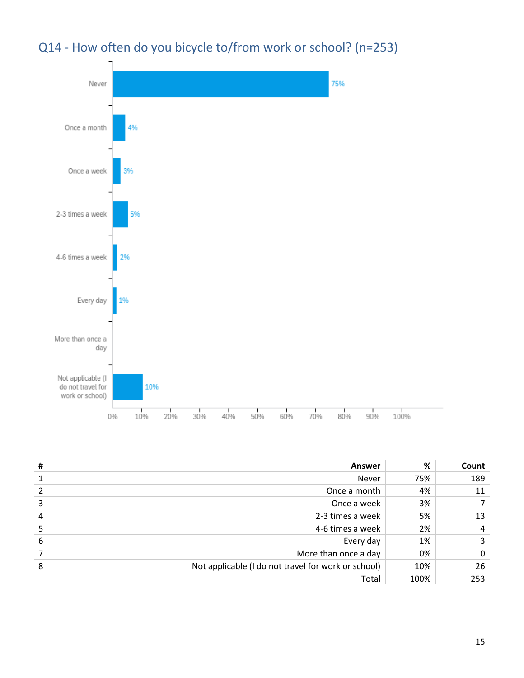<span id="page-14-0"></span>



| # | Answer                                              | %    | Count |
|---|-----------------------------------------------------|------|-------|
| 1 | <b>Never</b>                                        | 75%  | 189   |
| 2 | Once a month                                        | 4%   | 11    |
| 3 | Once a week                                         | 3%   |       |
| 4 | 2-3 times a week                                    | 5%   | 13    |
| 5 | 4-6 times a week                                    | 2%   | 4     |
| 6 | Every day                                           | 1%   |       |
|   | More than once a day                                | 0%   | 0     |
| 8 | Not applicable (I do not travel for work or school) | 10%  | 26    |
|   | Total                                               | 100% | 253   |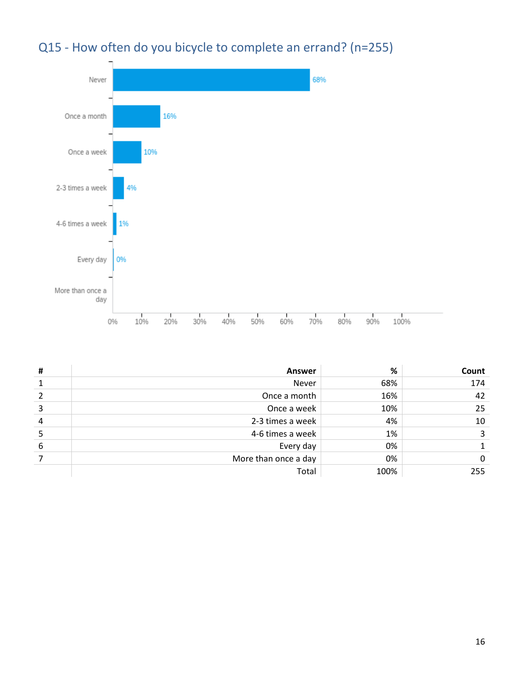<span id="page-15-0"></span>



| # | <b>Answer</b>        | %    | Count |
|---|----------------------|------|-------|
|   | Never                | 68%  | 174   |
|   | Once a month         | 16%  | 42    |
| 3 | Once a week          | 10%  | 25    |
| 4 | 2-3 times a week     | 4%   | 10    |
|   | 4-6 times a week     | 1%   |       |
| 6 | Every day            | 0%   |       |
|   | More than once a day | 0%   | O     |
|   | Total                | 100% | 255   |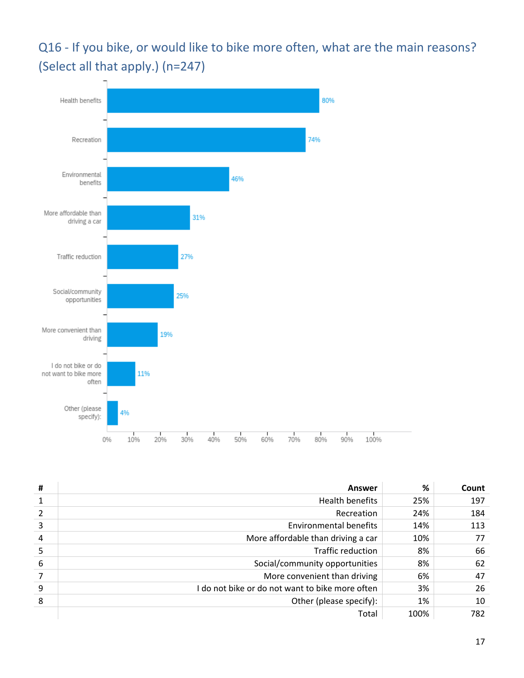<span id="page-16-0"></span>Q16 - If you bike, or would like to bike more often, what are the main reasons? (Select all that apply.) (n=247)



| # | Answer                                          | %    | Count |
|---|-------------------------------------------------|------|-------|
|   | Health benefits                                 | 25%  | 197   |
|   | Recreation                                      | 24%  | 184   |
| 3 | Environmental benefits                          | 14%  | 113   |
| 4 | More affordable than driving a car              | 10%  | 77    |
| 5 | Traffic reduction                               | 8%   | 66    |
| 6 | Social/community opportunities                  | 8%   | 62    |
|   | More convenient than driving                    | 6%   | 47    |
| 9 | I do not bike or do not want to bike more often | 3%   | 26    |
| 8 | Other (please specify):                         | 1%   | 10    |
|   | Total                                           | 100% | 782   |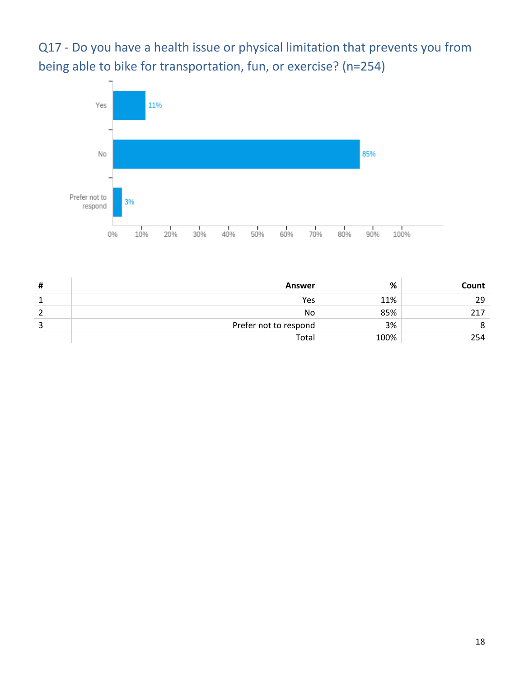<span id="page-17-0"></span>Q17 - Do you have a health issue or physical limitation that prevents you from being able to bike for transportation, fun, or exercise? (n=254)



| Ħ | Answer                | %    | Count |
|---|-----------------------|------|-------|
|   | Yes                   | 11%  | 29    |
|   | No                    | 85%  | 217   |
|   | Prefer not to respond | 3%   |       |
|   | Total                 | 100% | 254   |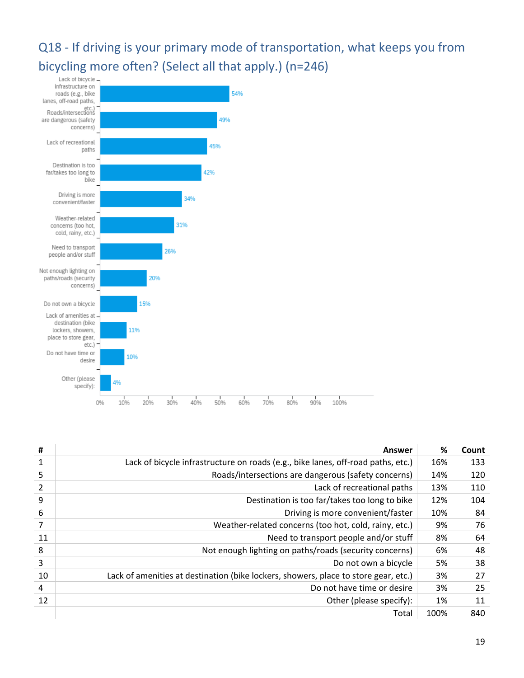## <span id="page-18-0"></span>Q18 - If driving is your primary mode of transportation, what keeps you from bicycling more often? (Select all that apply.) (n=246)



| #  | Answer                                                                              | %    | Count |
|----|-------------------------------------------------------------------------------------|------|-------|
| 1  | Lack of bicycle infrastructure on roads (e.g., bike lanes, off-road paths, etc.)    | 16%  | 133   |
| 5  | Roads/intersections are dangerous (safety concerns)                                 | 14%  | 120   |
| 2  | Lack of recreational paths                                                          | 13%  | 110   |
| 9  | Destination is too far/takes too long to bike                                       | 12%  | 104   |
| 6  | Driving is more convenient/faster                                                   | 10%  | 84    |
| 7  | Weather-related concerns (too hot, cold, rainy, etc.)                               | 9%   | 76    |
| 11 | Need to transport people and/or stuff                                               | 8%   | 64    |
| 8  | Not enough lighting on paths/roads (security concerns)                              | 6%   | 48    |
| 3  | Do not own a bicycle                                                                | 5%   | 38    |
| 10 | Lack of amenities at destination (bike lockers, showers, place to store gear, etc.) | 3%   | 27    |
| 4  | Do not have time or desire                                                          | 3%   | 25    |
| 12 | Other (please specify):                                                             | 1%   | 11    |
|    | Total                                                                               | 100% | 840   |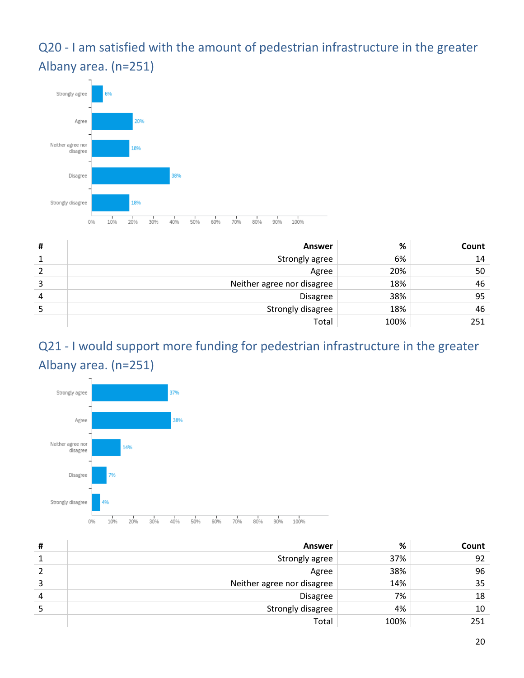<span id="page-19-0"></span>Q20 - I am satisfied with the amount of pedestrian infrastructure in the greater Albany area. (n=251)



| # | Answer                     | %    | Count |
|---|----------------------------|------|-------|
|   | Strongly agree             | 6%   | 14    |
|   | Agree                      | 20%  | 50    |
|   | Neither agree nor disagree | 18%  | 46    |
| 4 | Disagree                   | 38%  | 95    |
|   | Strongly disagree          | 18%  | 46    |
|   | Total                      | 100% | 251   |

#### <span id="page-19-1"></span>Q21 - I would support more funding for pedestrian infrastructure in the greater Albany area. (n=251)



| # | Answer                     | %    | Count |
|---|----------------------------|------|-------|
|   | Strongly agree             | 37%  | 92    |
|   | Agree                      | 38%  | 96    |
|   | Neither agree nor disagree | 14%  | 35    |
| 4 | <b>Disagree</b>            | 7%   | 18    |
|   | Strongly disagree          | 4%   | 10    |
|   | Total                      | 100% | 251   |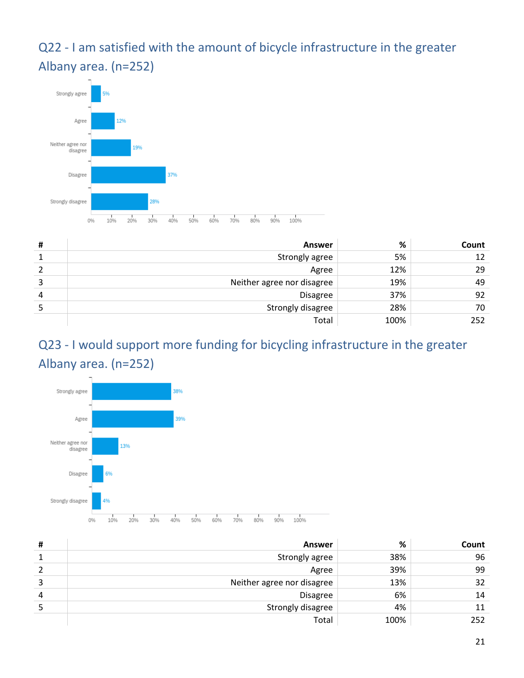<span id="page-20-0"></span>Q22 - I am satisfied with the amount of bicycle infrastructure in the greater Albany area. (n=252)



| # | Answer                     | %    | Count |
|---|----------------------------|------|-------|
|   | Strongly agree             | 5%   | 12    |
|   | Agree                      | 12%  | 29    |
|   | Neither agree nor disagree | 19%  | 49    |
| 4 | <b>Disagree</b>            | 37%  | 92    |
|   | Strongly disagree          | 28%  | 70    |
|   | Total                      | 100% | 252   |

#### <span id="page-20-1"></span>Q23 - I would support more funding for bicycling infrastructure in the greater Albany area. (n=252)



| # | Answer                     | %    | Count |
|---|----------------------------|------|-------|
| 1 | Strongly agree             | 38%  | 96    |
|   | Agree                      | 39%  | 99    |
| 3 | Neither agree nor disagree | 13%  | 32    |
| 4 | <b>Disagree</b>            | 6%   | 14    |
|   | Strongly disagree          | 4%   |       |
|   | Total                      | 100% | 252   |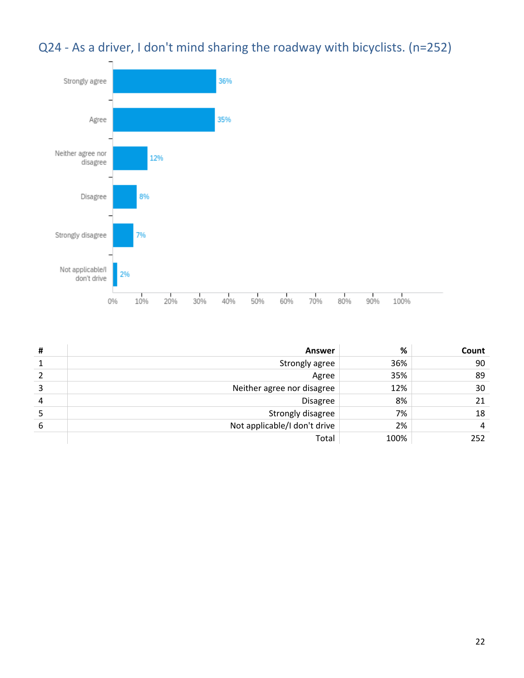#### <span id="page-21-0"></span>Q24 - As a driver, I don't mind sharing the roadway with bicyclists. (n=252)



| # | <b>Answer</b>                | %    | Count |
|---|------------------------------|------|-------|
|   | Strongly agree               | 36%  | 90    |
|   | Agree                        | 35%  | 89    |
| 3 | Neither agree nor disagree   | 12%  | 30    |
| 4 | <b>Disagree</b>              | 8%   | 21    |
|   | Strongly disagree            | 7%   | 18    |
| 6 | Not applicable/I don't drive | 2%   | 4     |
|   | Total                        | 100% | 252   |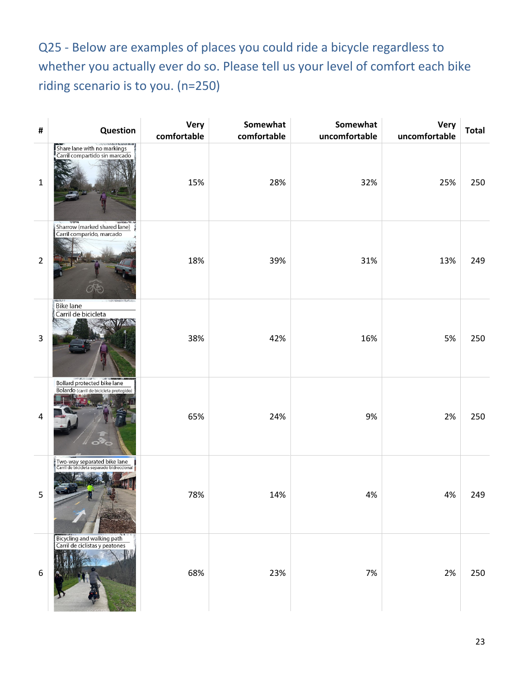<span id="page-22-0"></span>Q25 - Below are examples of places you could ride a bicycle regardless to whether you actually ever do so. Please tell us your level of comfort each bike riding scenario is to you. (n=250)

| #                | Question                                                                        | Very<br>comfortable | Somewhat<br>comfortable | Somewhat<br>uncomfortable | <b>Very</b><br>uncomfortable | <b>Total</b> |
|------------------|---------------------------------------------------------------------------------|---------------------|-------------------------|---------------------------|------------------------------|--------------|
| $\mathbf 1$      | Share lane with no markings<br>Carril compartido sin marcado                    | 15%                 | 28%                     | 32%                       | 25%                          | 250          |
| $\overline{2}$   | Sharrow (marked shared lane)<br>Carril comparido, marcado                       | 18%                 | 39%                     | 31%                       | 13%                          | 249          |
| 3                | Bike lane<br>Carril de bicicleta                                                | 38%                 | 42%                     | 16%                       | 5%                           | 250          |
| $\overline{a}$   | Bollard protected bike lane<br>Bolardo (carril de bicicleta protegido)          | 65%                 | 24%                     | 9%                        | 2%                           | 250          |
| 5                | .<br>"Two-way separated bike lane<br>"Carril de bicicleta separado bidreccional | 78%                 | 14%                     | 4%                        | 4%                           | 249          |
| $\boldsymbol{6}$ | Bicycling and walking path<br>Carril de ciclistas y peatones                    | 68%                 | 23%                     | 7%                        | 2%                           | 250          |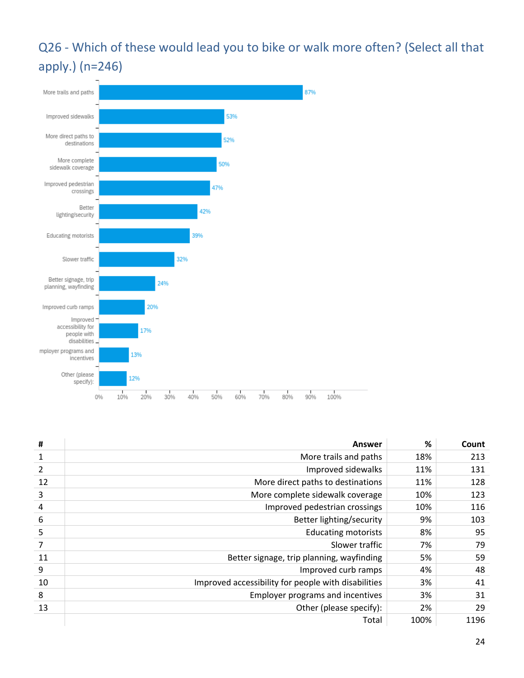#### <span id="page-23-0"></span>Q26 - Which of these would lead you to bike or walk more often? (Select all that apply.) (n=246)



| #              | Answer                                              | %    | Count |
|----------------|-----------------------------------------------------|------|-------|
| 1              | More trails and paths                               | 18%  | 213   |
| $\overline{2}$ | Improved sidewalks                                  | 11%  | 131   |
| 12             | More direct paths to destinations                   | 11%  | 128   |
| 3              | More complete sidewalk coverage                     | 10%  | 123   |
| 4              | Improved pedestrian crossings                       | 10%  | 116   |
| 6              | Better lighting/security                            | 9%   | 103   |
| 5              | <b>Educating motorists</b>                          | 8%   | 95    |
| 7              | Slower traffic                                      | 7%   | 79    |
| 11             | Better signage, trip planning, wayfinding           | 5%   | 59    |
| 9              | Improved curb ramps                                 | 4%   | 48    |
| 10             | Improved accessibility for people with disabilities | 3%   | 41    |
| 8              | Employer programs and incentives                    | 3%   | 31    |
| 13             | Other (please specify):                             | 2%   | 29    |
|                | Total                                               | 100% | 1196  |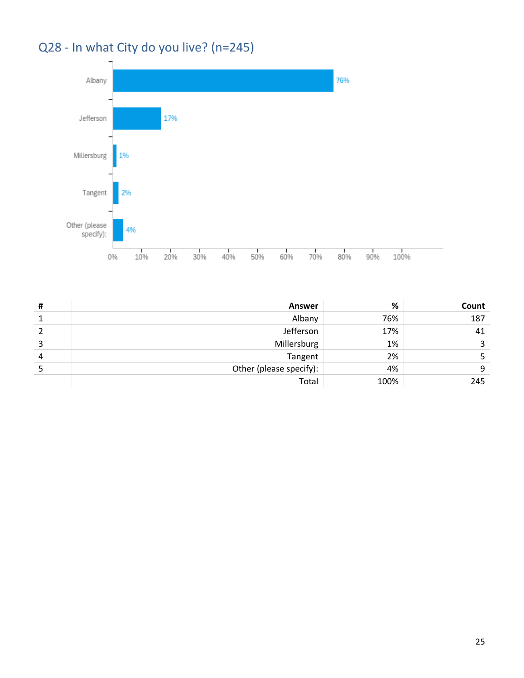## <span id="page-24-0"></span>Q28 - In what City do you live? (n=245)



| # | <b>Answer</b>           | %    | Count |
|---|-------------------------|------|-------|
|   | Albany                  | 76%  | 187   |
|   | Jefferson               | 17%  | 41    |
|   | Millersburg             | 1%   |       |
| 4 | Tangent                 | 2%   |       |
|   | Other (please specify): | 4%   |       |
|   | Total                   | 100% | 245   |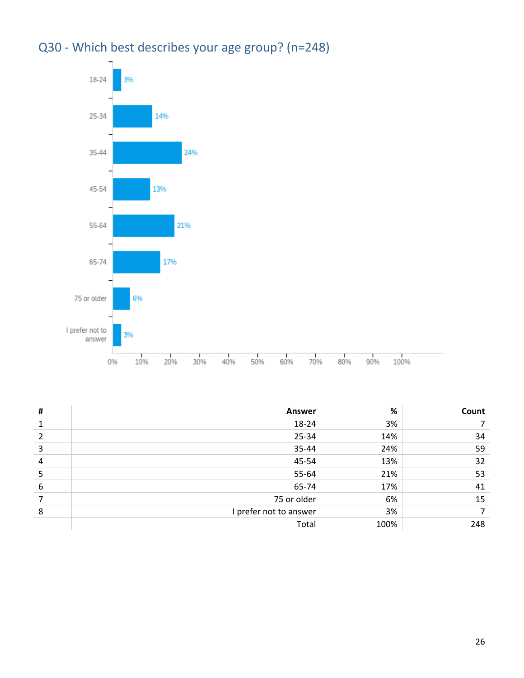

<span id="page-25-0"></span>

| Q30 - Which best describes your age group? (n=248) |
|----------------------------------------------------|
|----------------------------------------------------|

| # | <b>Answer</b>          | $\%$ | Count |
|---|------------------------|------|-------|
|   | 18-24                  | 3%   |       |
|   | 25-34                  | 14%  | 34    |
| 3 | 35-44                  | 24%  | 59    |
| 4 | 45-54                  | 13%  | 32    |
|   | 55-64                  | 21%  | 53    |
| 6 | 65-74                  | 17%  | 41    |
|   | 75 or older            | 6%   | 15    |
| 8 | I prefer not to answer | 3%   |       |
|   | Total                  | 100% | 248   |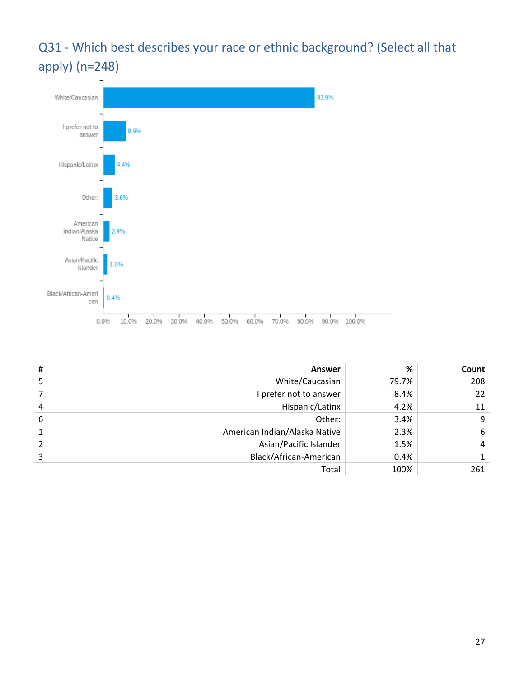#### <span id="page-26-0"></span>Q31 - Which best describes your race or ethnic background? (Select all that apply) (n=248)



| # | Answer                        | %     | Count          |
|---|-------------------------------|-------|----------------|
| 5 | White/Caucasian               | 79.7% | 208            |
|   | I prefer not to answer        | 8.4%  | 22             |
| 4 | Hispanic/Latinx               | 4.2%  | 11             |
| 6 | Other:                        | 3.4%  | 9              |
| 1 | American Indian/Alaska Native | 2.3%  | 6              |
| 2 | Asian/Pacific Islander        | 1.5%  | $\overline{4}$ |
| 3 | Black/African-American        | 0.4%  |                |
|   | Total                         | 100%  | 261            |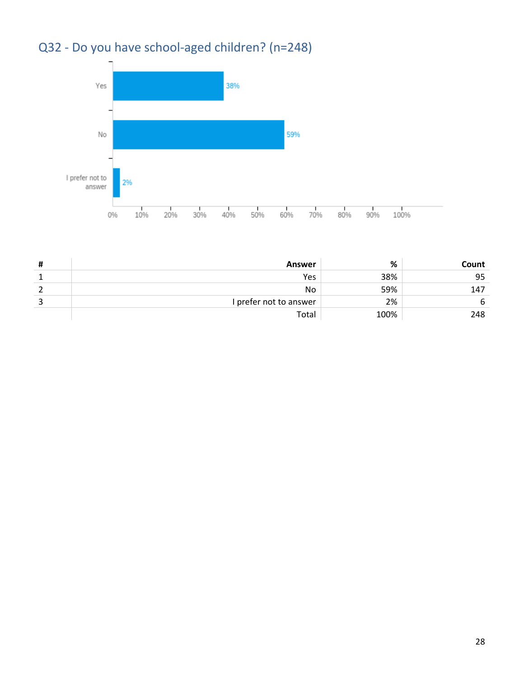## <span id="page-27-0"></span>Q32 - Do you have school-aged children? (n=248)



| # | Answer                 | %    | Count |
|---|------------------------|------|-------|
|   | Yes                    | 38%  | 95    |
|   | No.                    | 59%  | 147   |
|   | I prefer not to answer | 2%   |       |
|   | Total                  | 100% | 248   |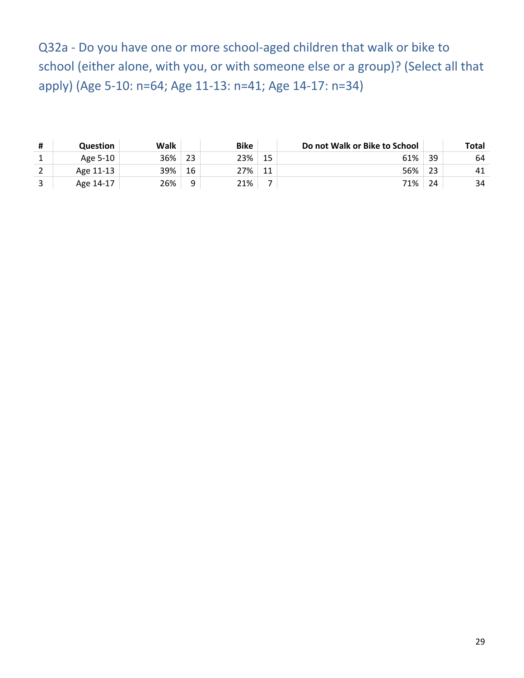<span id="page-28-0"></span>Q32a - Do you have one or more school-aged children that walk or bike to school (either alone, with you, or with someone else or a group)? (Select all that apply) (Age 5-10: n=64; Age 11-13: n=41; Age 14-17: n=34)

| <b>Question</b> | Walk |    | <b>Bike</b> |    | Do not Walk or Bike to School |    | Total |
|-----------------|------|----|-------------|----|-------------------------------|----|-------|
| Age 5-10        | 36%  | 23 | 23%         | 15 | 61%                           | 39 | 64    |
| Age 11-13       | 39%  | 16 | 27%         | 11 | 56%                           | 23 | 41    |
| Age 14-17       | 26%  | 9  | 21%         |    | 71%                           | 24 | 34    |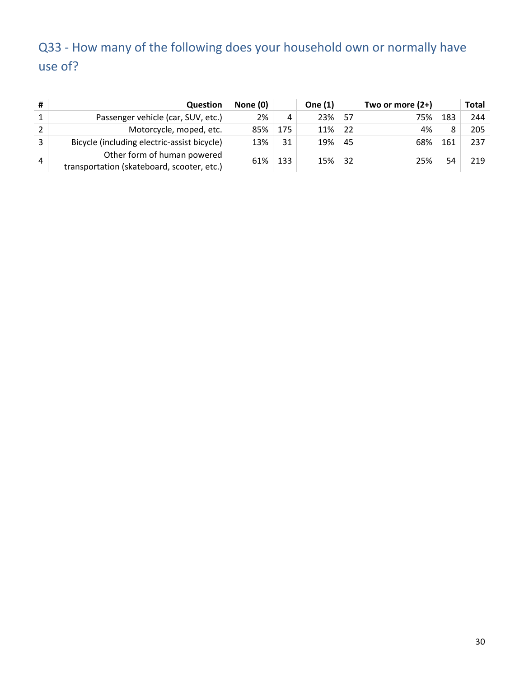### <span id="page-29-0"></span>Q33 - How many of the following does your household own or normally have use of?

| #             | <b>Question</b>                                                           | None (0) |     | One (1) |    | Two or more $(2+)$ |     | <b>Total</b> |
|---------------|---------------------------------------------------------------------------|----------|-----|---------|----|--------------------|-----|--------------|
|               | Passenger vehicle (car, SUV, etc.)                                        | 2%       | 4   | 23%     | 57 | 75%                | 183 | 244          |
| $\mathcal{L}$ | Motorcycle, moped, etc.                                                   | 85%      | 175 | 11%     | 22 | 4%                 |     | 205          |
|               | Bicycle (including electric-assist bicycle)                               | 13%      | 31  | 19%     | 45 | 68%                | 161 | 237          |
| 4             | Other form of human powered<br>transportation (skateboard, scooter, etc.) | 61%      | 133 | 15%     | 32 | 25%                | 54  | 219          |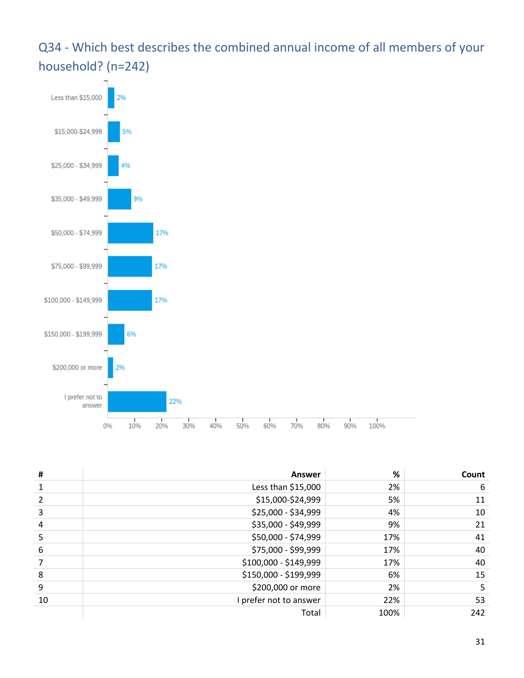#### <span id="page-30-0"></span>Q34 - Which best describes the combined annual income of all members of your household? (n=242)



| #  | Answer                 | %    | Count |
|----|------------------------|------|-------|
|    | Less than \$15,000     | 2%   | 6     |
|    | \$15,000-\$24,999      | 5%   | 11    |
| 3  | \$25,000 - \$34,999    | 4%   | 10    |
| 4  | \$35,000 - \$49,999    | 9%   | 21    |
| 5  | \$50,000 - \$74,999    | 17%  | 41    |
| 6  | \$75,000 - \$99,999    | 17%  | 40    |
|    | \$100,000 - \$149,999  | 17%  | 40    |
| 8  | \$150,000 - \$199,999  | 6%   | 15    |
| 9  | \$200,000 or more      | 2%   | 5     |
| 10 | I prefer not to answer | 22%  | 53    |
|    | Total                  | 100% | 242   |